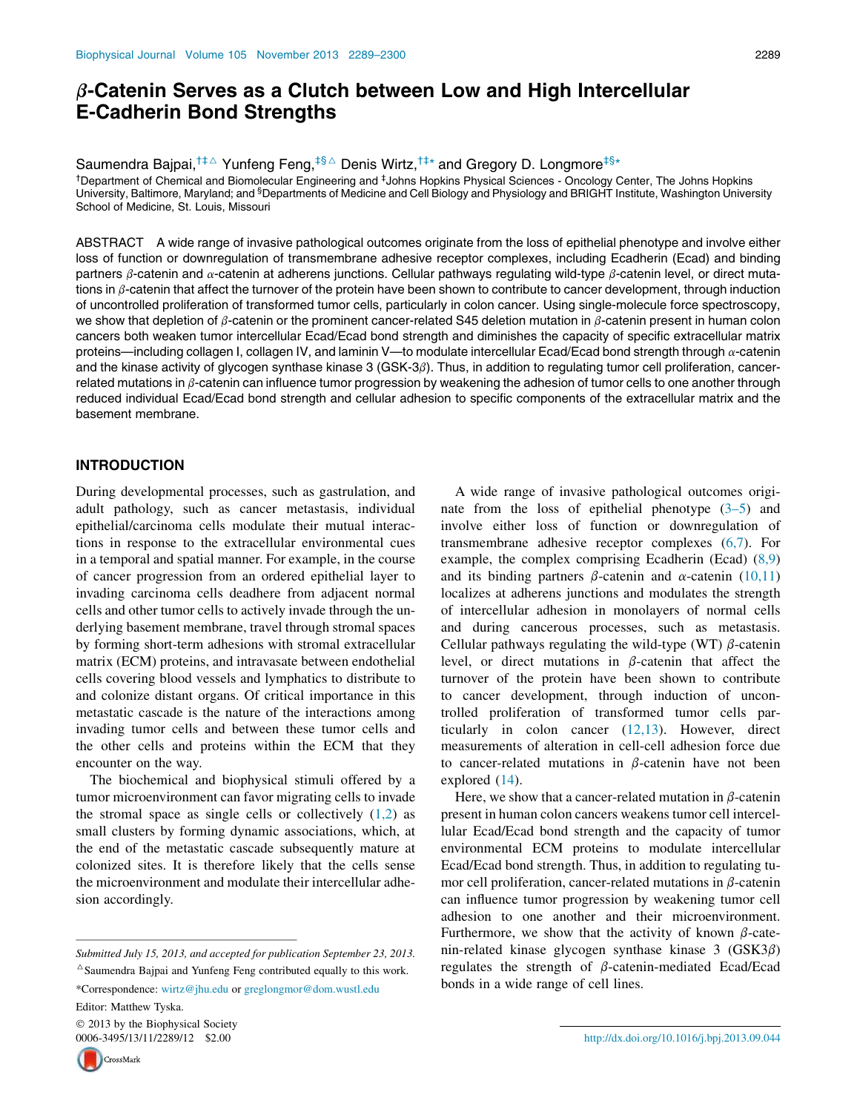# $\beta$ -Catenin Serves as a Clutch between Low and High Intercellular E-Cadherin Bond Strengths

Saumendra Bajpai,<sup>†‡∆</sup> Yunfeng Feng,<sup>‡§∆</sup> Denis Wirtz,<sup>†‡\*</sup> and Gregory D. Longmore<sup>‡§\*</sup> <sup>†</sup>Department of Chemical and Biomolecular Engineering and <sup>‡</sup>Johns Hopkins Physical Sciences - Oncology Center, The Johns Hopkins University, Baltimore, Maryland; and <sup>§</sup>Departments of Medicine and Cell Biology and Physiology and BRIGHT Institute, Washington University

ABSTRACT A wide range of invasive pathological outcomes originate from the loss of epithelial phenotype and involve either loss of function or downregulation of transmembrane adhesive receptor complexes, including Ecadherin (Ecad) and binding partners  $\beta$ -catenin and  $\alpha$ -catenin at adherens junctions. Cellular pathways regulating wild-type  $\beta$ -catenin level, or direct mutations in  $\beta$ -catenin that affect the turnover of the protein have been shown to contribute to cancer development, through induction of uncontrolled proliferation of transformed tumor cells, particularly in colon cancer. Using single-molecule force spectroscopy, we show that depletion of  $\beta$ -catenin or the prominent cancer-related S45 deletion mutation in  $\beta$ -catenin present in human colon cancers both weaken tumor intercellular Ecad/Ecad bond strength and diminishes the capacity of specific extracellular matrix proteins—including collagen I, collagen IV, and laminin V—to modulate intercellular Ecad/Ecad bond strength through  $\alpha$ -catenin and the kinase activity of glycogen synthase kinase  $3$  (GSK- $3\beta$ ). Thus, in addition to regulating tumor cell proliferation, cancerrelated mutations in  $\beta$ -catenin can influence tumor progression by weakening the adhesion of tumor cells to one another through reduced individual Ecad/Ecad bond strength and cellular adhesion to specific components of the extracellular matrix and the

# INTRODUCTION

basement membrane.

School of Medicine, St. Louis, Missouri

During developmental processes, such as gastrulation, and adult pathology, such as cancer metastasis, individual epithelial/carcinoma cells modulate their mutual interactions in response to the extracellular environmental cues in a temporal and spatial manner. For example, in the course of cancer progression from an ordered epithelial layer to invading carcinoma cells deadhere from adjacent normal cells and other tumor cells to actively invade through the underlying basement membrane, travel through stromal spaces by forming short-term adhesions with stromal extracellular matrix (ECM) proteins, and intravasate between endothelial cells covering blood vessels and lymphatics to distribute to and colonize distant organs. Of critical importance in this metastatic cascade is the nature of the interactions among invading tumor cells and between these tumor cells and the other cells and proteins within the ECM that they encounter on the way.

The biochemical and biophysical stimuli offered by a tumor microenvironment can favor migrating cells to invade the stromal space as single cells or collectively  $(1,2)$  as small clusters by forming dynamic associations, which, at the end of the metastatic cascade subsequently mature at colonized sites. It is therefore likely that the cells sense the microenvironment and modulate their intercellular adhesion accordingly.

Editor: Matthew Tyska.

2013 by the Biophysical Society



A wide range of invasive pathological outcomes originate from the loss of epithelial phenotype  $(3-5)$  and involve either loss of function or downregulation of transmembrane adhesive receptor complexes (6,7). For example, the complex comprising Ecadherin (Ecad)  $(8,9)$ and its binding partners  $\beta$ -catenin and  $\alpha$ -catenin (10,11) localizes at adherens junctions and modulates the strength of intercellular adhesion in monolayers of normal cells and during cancerous processes, such as metastasis. Cellular pathways regulating the wild-type (WT)  $\beta$ -catenin level, or direct mutations in  $\beta$ -catenin that affect the turnover of the protein have been shown to contribute to cancer development, through induction of uncontrolled proliferation of transformed tumor cells particularly in colon cancer (12,13). However, direct measurements of alteration in cell-cell adhesion force due to cancer-related mutations in  $\beta$ -catenin have not been explored (14).

Here, we show that a cancer-related mutation in  $\beta$ -catenin present in human colon cancers weakens tumor cell intercellular Ecad/Ecad bond strength and the capacity of tumor environmental ECM proteins to modulate intercellular Ecad/Ecad bond strength. Thus, in addition to regulating tumor cell proliferation, cancer-related mutations in  $\beta$ -catenin can influence tumor progression by weakening tumor cell adhesion to one another and their microenvironment. Furthermore, we show that the activity of known  $\beta$ -catenin-related kinase glycogen synthase kinase 3  $(GSK3\beta)$ regulates the strength of  $\beta$ -catenin-mediated Ecad/Ecad bonds in a wide range of cell lines.

Submitted July 15, 2013, and accepted for publication September 23, 2013.  $\triangle$ Saumendra Bajpai and Yunfeng Feng contributed equally to this work.

<sup>\*</sup>Correspondence: wirtz@jhu.edu or greglongmor@dom.wustl.edu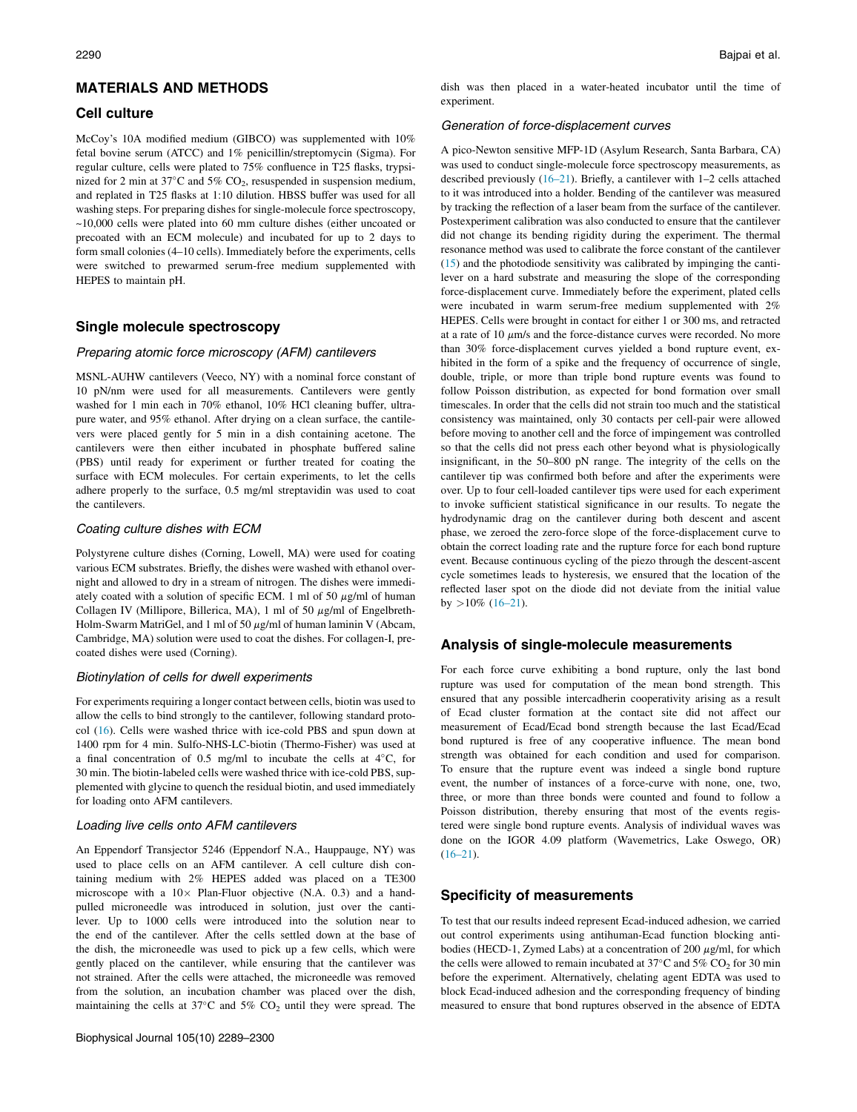# MATERIALS AND METHODS

#### Cell culture

McCoy's 10A modified medium (GIBCO) was supplemented with 10% fetal bovine serum (ATCC) and 1% penicillin/streptomycin (Sigma). For regular culture, cells were plated to 75% confluence in T25 flasks, trypsinized for 2 min at 37 $\degree$ C and 5% CO<sub>2</sub>, resuspended in suspension medium, and replated in T25 flasks at 1:10 dilution. HBSS buffer was used for all washing steps. For preparing dishes for single-molecule force spectroscopy, ~10,000 cells were plated into 60 mm culture dishes (either uncoated or precoated with an ECM molecule) and incubated for up to 2 days to form small colonies (4–10 cells). Immediately before the experiments, cells were switched to prewarmed serum-free medium supplemented with HEPES to maintain pH.

#### Single molecule spectroscopy

#### Preparing atomic force microscopy (AFM) cantilevers

MSNL-AUHW cantilevers (Veeco, NY) with a nominal force constant of 10 pN/nm were used for all measurements. Cantilevers were gently washed for 1 min each in 70% ethanol, 10% HCl cleaning buffer, ultrapure water, and 95% ethanol. After drying on a clean surface, the cantilevers were placed gently for 5 min in a dish containing acetone. The cantilevers were then either incubated in phosphate buffered saline (PBS) until ready for experiment or further treated for coating the surface with ECM molecules. For certain experiments, to let the cells adhere properly to the surface, 0.5 mg/ml streptavidin was used to coat the cantilevers.

#### Coating culture dishes with ECM

Polystyrene culture dishes (Corning, Lowell, MA) were used for coating various ECM substrates. Briefly, the dishes were washed with ethanol overnight and allowed to dry in a stream of nitrogen. The dishes were immediately coated with a solution of specific ECM. 1 ml of 50  $\mu$ g/ml of human Collagen IV (Millipore, Billerica, MA), 1 ml of 50  $\mu$ g/ml of Engelbreth-Holm-Swarm MatriGel, and 1 ml of 50  $\mu$ g/ml of human laminin V (Abcam, Cambridge, MA) solution were used to coat the dishes. For collagen-I, precoated dishes were used (Corning).

#### Biotinylation of cells for dwell experiments

For experiments requiring a longer contact between cells, biotin was used to allow the cells to bind strongly to the cantilever, following standard protocol (16). Cells were washed thrice with ice-cold PBS and spun down at 1400 rpm for 4 min. Sulfo-NHS-LC-biotin (Thermo-Fisher) was used at a final concentration of 0.5 mg/ml to incubate the cells at  $4^{\circ}$ C, for 30 min. The biotin-labeled cells were washed thrice with ice-cold PBS, supplemented with glycine to quench the residual biotin, and used immediately for loading onto AFM cantilevers.

#### Loading live cells onto AFM cantilevers

An Eppendorf Transjector 5246 (Eppendorf N.A., Hauppauge, NY) was used to place cells on an AFM cantilever. A cell culture dish containing medium with 2% HEPES added was placed on a TE300 microscope with a  $10\times$  Plan-Fluor objective (N.A. 0.3) and a handpulled microneedle was introduced in solution, just over the cantilever. Up to 1000 cells were introduced into the solution near to the end of the cantilever. After the cells settled down at the base of the dish, the microneedle was used to pick up a few cells, which were gently placed on the cantilever, while ensuring that the cantilever was not strained. After the cells were attached, the microneedle was removed from the solution, an incubation chamber was placed over the dish, maintaining the cells at  $37^{\circ}$ C and  $5\%$  CO<sub>2</sub> until they were spread. The dish was then placed in a water-heated incubator until the time of experiment.

#### Generation of force-displacement curves

A pico-Newton sensitive MFP-1D (Asylum Research, Santa Barbara, CA) was used to conduct single-molecule force spectroscopy measurements, as described previously (16–21). Briefly, a cantilever with 1–2 cells attached to it was introduced into a holder. Bending of the cantilever was measured by tracking the reflection of a laser beam from the surface of the cantilever. Postexperiment calibration was also conducted to ensure that the cantilever did not change its bending rigidity during the experiment. The thermal resonance method was used to calibrate the force constant of the cantilever (15) and the photodiode sensitivity was calibrated by impinging the cantilever on a hard substrate and measuring the slope of the corresponding force-displacement curve. Immediately before the experiment, plated cells were incubated in warm serum-free medium supplemented with 2% HEPES. Cells were brought in contact for either 1 or 300 ms, and retracted at a rate of 10  $\mu$ m/s and the force-distance curves were recorded. No more than 30% force-displacement curves yielded a bond rupture event, exhibited in the form of a spike and the frequency of occurrence of single, double, triple, or more than triple bond rupture events was found to follow Poisson distribution, as expected for bond formation over small timescales. In order that the cells did not strain too much and the statistical consistency was maintained, only 30 contacts per cell-pair were allowed before moving to another cell and the force of impingement was controlled so that the cells did not press each other beyond what is physiologically insignificant, in the 50–800 pN range. The integrity of the cells on the cantilever tip was confirmed both before and after the experiments were over. Up to four cell-loaded cantilever tips were used for each experiment to invoke sufficient statistical significance in our results. To negate the hydrodynamic drag on the cantilever during both descent and ascent phase, we zeroed the zero-force slope of the force-displacement curve to obtain the correct loading rate and the rupture force for each bond rupture event. Because continuous cycling of the piezo through the descent-ascent cycle sometimes leads to hysteresis, we ensured that the location of the reflected laser spot on the diode did not deviate from the initial value by  $>10\%$  (16–21).

# Analysis of single-molecule measurements

For each force curve exhibiting a bond rupture, only the last bond rupture was used for computation of the mean bond strength. This ensured that any possible intercadherin cooperativity arising as a result of Ecad cluster formation at the contact site did not affect our measurement of Ecad/Ecad bond strength because the last Ecad/Ecad bond ruptured is free of any cooperative influence. The mean bond strength was obtained for each condition and used for comparison. To ensure that the rupture event was indeed a single bond rupture event, the number of instances of a force-curve with none, one, two, three, or more than three bonds were counted and found to follow a Poisson distribution, thereby ensuring that most of the events registered were single bond rupture events. Analysis of individual waves was done on the IGOR 4.09 platform (Wavemetrics, Lake Oswego, OR)  $(16–21)$ .

# Specificity of measurements

To test that our results indeed represent Ecad-induced adhesion, we carried out control experiments using antihuman-Ecad function blocking antibodies (HECD-1, Zymed Labs) at a concentration of 200  $\mu$ g/ml, for which the cells were allowed to remain incubated at 37 $\degree$ C and 5% CO<sub>2</sub> for 30 min before the experiment. Alternatively, chelating agent EDTA was used to block Ecad-induced adhesion and the corresponding frequency of binding measured to ensure that bond ruptures observed in the absence of EDTA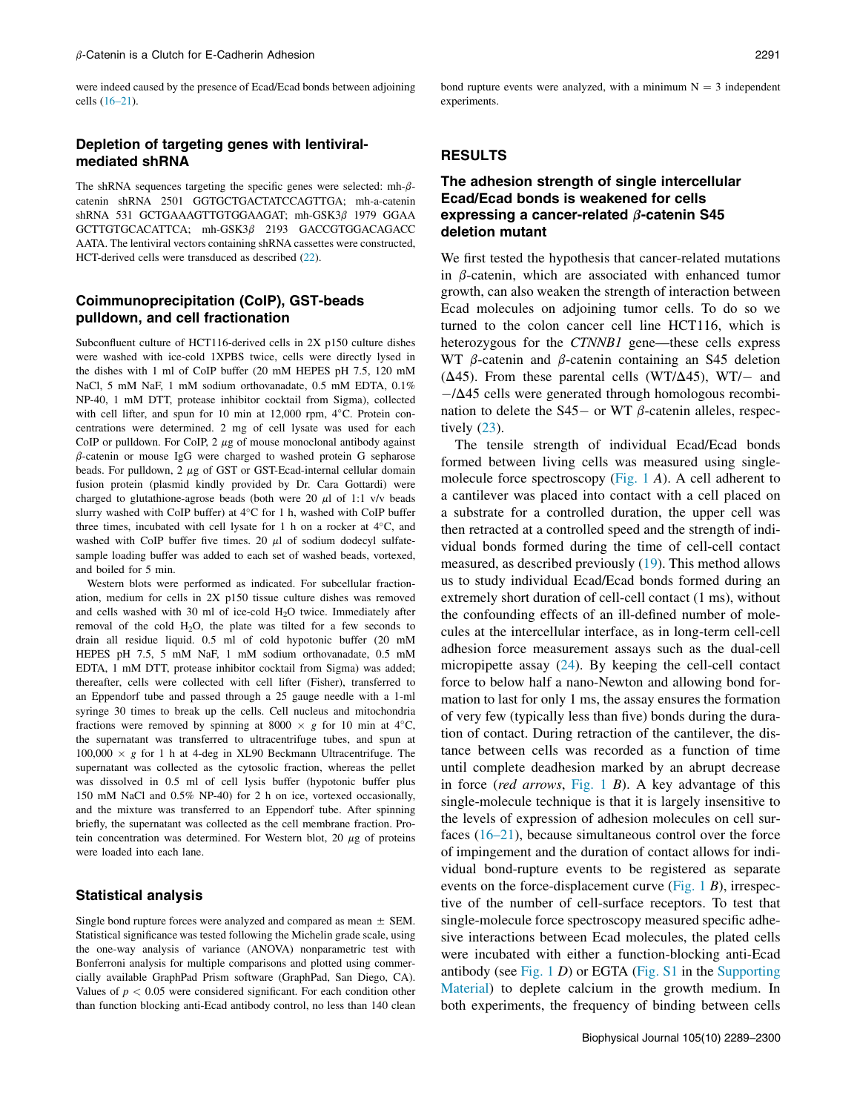were indeed caused by the presence of Ecad/Ecad bonds between adjoining cells (16–21).

# Depletion of targeting genes with lentiviralmediated shRNA

The shRNA sequences targeting the specific genes were selected:  $mh-\beta$ catenin shRNA 2501 GGTGCTGACTATCCAGTTGA; mh-a-catenin shRNA 531 GCTGAAAGTTGTGGAAGAT; mh-GSK3 $\beta$  1979 GGAA GCTTGTGCACATTCA; mh-GSK3 $\beta$  2193 GACCGTGGACAGACC AATA. The lentiviral vectors containing shRNA cassettes were constructed, HCT-derived cells were transduced as described (22).

# Coimmunoprecipitation (CoIP), GST-beads pulldown, and cell fractionation

Subconfluent culture of HCT116-derived cells in 2X p150 culture dishes were washed with ice-cold 1XPBS twice, cells were directly lysed in the dishes with 1 ml of CoIP buffer (20 mM HEPES pH 7.5, 120 mM NaCl, 5 mM NaF, 1 mM sodium orthovanadate, 0.5 mM EDTA, 0.1% NP-40, 1 mM DTT, protease inhibitor cocktail from Sigma), collected with cell lifter, and spun for 10 min at  $12,000$  rpm,  $4^{\circ}$ C. Protein concentrations were determined. 2 mg of cell lysate was used for each CoIP or pulldown. For CoIP,  $2 \mu g$  of mouse monoclonal antibody against  $\beta$ -catenin or mouse IgG were charged to washed protein G sepharose beads. For pulldown,  $2 \mu g$  of GST or GST-Ecad-internal cellular domain fusion protein (plasmid kindly provided by Dr. Cara Gottardi) were charged to glutathione-agrose beads (both were  $20 \mu l$  of 1:1 v/v beads slurry washed with CoIP buffer) at 4°C for 1 h, washed with CoIP buffer three times, incubated with cell lysate for 1 h on a rocker at  $4^{\circ}$ C, and washed with CoIP buffer five times. 20  $\mu$ l of sodium dodecyl sulfatesample loading buffer was added to each set of washed beads, vortexed, and boiled for 5 min.

Western blots were performed as indicated. For subcellular fractionation, medium for cells in 2X p150 tissue culture dishes was removed and cells washed with 30 ml of ice-cold H2O twice. Immediately after removal of the cold  $H_2O$ , the plate was tilted for a few seconds to drain all residue liquid. 0.5 ml of cold hypotonic buffer (20 mM HEPES pH 7.5, 5 mM NaF, 1 mM sodium orthovanadate, 0.5 mM EDTA, 1 mM DTT, protease inhibitor cocktail from Sigma) was added; thereafter, cells were collected with cell lifter (Fisher), transferred to an Eppendorf tube and passed through a 25 gauge needle with a 1-ml syringe 30 times to break up the cells. Cell nucleus and mitochondria fractions were removed by spinning at 8000  $\times$  g for 10 min at 4<sup>o</sup>C, the supernatant was transferred to ultracentrifuge tubes, and spun at  $100,000 \times g$  for 1 h at 4-deg in XL90 Beckmann Ultracentrifuge. The supernatant was collected as the cytosolic fraction, whereas the pellet was dissolved in 0.5 ml of cell lysis buffer (hypotonic buffer plus 150 mM NaCl and 0.5% NP-40) for 2 h on ice, vortexed occasionally, and the mixture was transferred to an Eppendorf tube. After spinning briefly, the supernatant was collected as the cell membrane fraction. Protein concentration was determined. For Western blot, 20  $\mu$ g of proteins were loaded into each lane.

### Statistical analysis

Single bond rupture forces were analyzed and compared as mean  $\pm$  SEM. Statistical significance was tested following the Michelin grade scale, using the one-way analysis of variance (ANOVA) nonparametric test with Bonferroni analysis for multiple comparisons and plotted using commercially available GraphPad Prism software (GraphPad, San Diego, CA). Values of  $p < 0.05$  were considered significant. For each condition other than function blocking anti-Ecad antibody control, no less than 140 clean bond rupture events were analyzed, with a minimum  $N = 3$  independent experiments.

# RESULTS

# The adhesion strength of single intercellular Ecad/Ecad bonds is weakened for cells expressing a cancer-related  $\beta$ -catenin S45 deletion mutant

We first tested the hypothesis that cancer-related mutations in  $\beta$ -catenin, which are associated with enhanced tumor growth, can also weaken the strength of interaction between Ecad molecules on adjoining tumor cells. To do so we turned to the colon cancer cell line HCT116, which is heterozygous for the *CTNNB1* gene—these cells express WT  $\beta$ -catenin and  $\beta$ -catenin containing an S45 deletion ( $\Delta$ 45). From these parental cells (WT/ $\Delta$ 45), WT/- and  $-\Delta$ 45 cells were generated through homologous recombination to delete the S45 or WT  $\beta$ -catenin alleles, respectively (23).

The tensile strength of individual Ecad/Ecad bonds formed between living cells was measured using singlemolecule force spectroscopy (Fig. 1 A). A cell adherent to a cantilever was placed into contact with a cell placed on a substrate for a controlled duration, the upper cell was then retracted at a controlled speed and the strength of individual bonds formed during the time of cell-cell contact measured, as described previously (19). This method allows us to study individual Ecad/Ecad bonds formed during an extremely short duration of cell-cell contact (1 ms), without the confounding effects of an ill-defined number of molecules at the intercellular interface, as in long-term cell-cell adhesion force measurement assays such as the dual-cell micropipette assay (24). By keeping the cell-cell contact force to below half a nano-Newton and allowing bond formation to last for only 1 ms, the assay ensures the formation of very few (typically less than five) bonds during the duration of contact. During retraction of the cantilever, the distance between cells was recorded as a function of time until complete deadhesion marked by an abrupt decrease in force (*red arrows*, Fig. 1  $B$ ). A key advantage of this single-molecule technique is that it is largely insensitive to the levels of expression of adhesion molecules on cell surfaces (16–21), because simultaneous control over the force of impingement and the duration of contact allows for individual bond-rupture events to be registered as separate events on the force-displacement curve  $(Fig. 1 B)$ , irrespective of the number of cell-surface receptors. To test that single-molecule force spectroscopy measured specific adhesive interactions between Ecad molecules, the plated cells were incubated with either a function-blocking anti-Ecad antibody (see Fig. 1 D) or EGTA (Fig. S1 in the Supporting Material) to deplete calcium in the growth medium. In both experiments, the frequency of binding between cells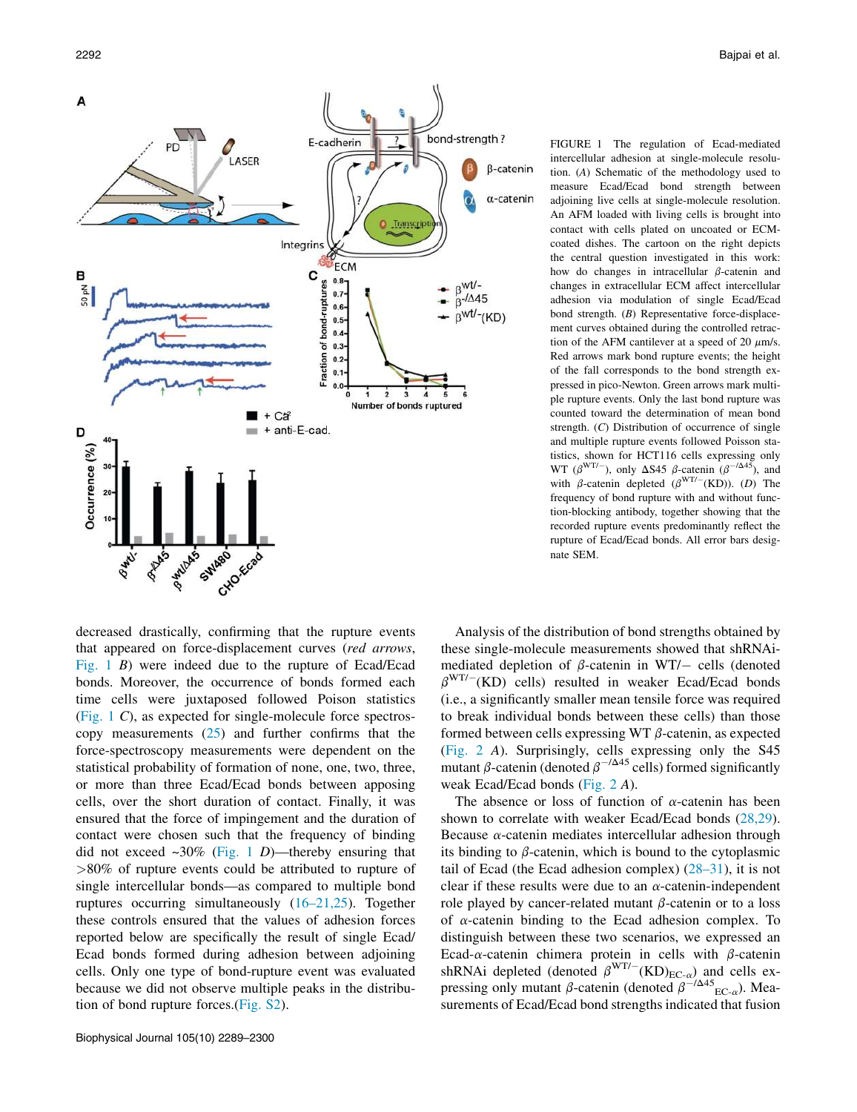

FIGURE 1 The regulation of Ecad-mediated intercellular adhesion at single-molecule resolution. (A) Schematic of the methodology used to measure Ecad/Ecad bond strength between adjoining live cells at single-molecule resolution. An AFM loaded with living cells is brought into contact with cells plated on uncoated or ECMcoated dishes. The cartoon on the right depicts the central question investigated in this work: how do changes in intracellular  $\beta$ -catenin and changes in extracellular ECM affect intercellular adhesion via modulation of single Ecad/Ecad bond strength. (B) Representative force-displacement curves obtained during the controlled retraction of the AFM cantilever at a speed of 20  $\mu$ m/s. Red arrows mark bond rupture events; the height of the fall corresponds to the bond strength expressed in pico-Newton. Green arrows mark multiple rupture events. Only the last bond rupture was counted toward the determination of mean bond strength. (C) Distribution of occurrence of single and multiple rupture events followed Poisson statistics, shown for HCT116 cells expressing only WT ( $\beta^{\text{WT}-}$ ), only  $\Delta$ S45  $\beta$ -catenin ( $\beta^{-/\Delta 45}$ ), and with  $\beta$ -catenin depleted  $(\beta^{WT/-}(KD))$ . (D) The frequency of bond rupture with and without function-blocking antibody, together showing that the recorded rupture events predominantly reflect the rupture of Ecad/Ecad bonds. All error bars designate SEM.

decreased drastically, confirming that the rupture events that appeared on force-displacement curves (red arrows, Fig. 1 B) were indeed due to the rupture of Ecad/Ecad bonds. Moreover, the occurrence of bonds formed each time cells were juxtaposed followed Poison statistics (Fig. 1 C), as expected for single-molecule force spectroscopy measurements (25) and further confirms that the force-spectroscopy measurements were dependent on the statistical probability of formation of none, one, two, three, or more than three Ecad/Ecad bonds between apposing cells, over the short duration of contact. Finally, it was ensured that the force of impingement and the duration of contact were chosen such that the frequency of binding did not exceed  $\sim 30\%$  (Fig. 1 D)—thereby ensuring that >80% of rupture events could be attributed to rupture of single intercellular bonds—as compared to multiple bond ruptures occurring simultaneously (16–21,25). Together these controls ensured that the values of adhesion forces reported below are specifically the result of single Ecad/ Ecad bonds formed during adhesion between adjoining cells. Only one type of bond-rupture event was evaluated because we did not observe multiple peaks in the distribution of bond rupture forces.(Fig. S2).

Analysis of the distribution of bond strengths obtained by these single-molecule measurements showed that shRNAimediated depletion of  $\beta$ -catenin in WT/- cells (denoted  $\beta^{WT/-}(KD)$  cells) resulted in weaker Ecad/Ecad bonds (i.e., a significantly smaller mean tensile force was required to break individual bonds between these cells) than those formed between cells expressing WT  $\beta$ -catenin, as expected (Fig. 2 A). Surprisingly, cells expressing only the S45 mutant  $\beta$ -catenin (denoted  $\beta^{-/\Delta 45}$  cells) formed significantly weak Ecad/Ecad bonds (Fig. 2 A).

The absence or loss of function of  $\alpha$ -catenin has been shown to correlate with weaker Ecad/Ecad bonds (28,29). Because  $\alpha$ -catenin mediates intercellular adhesion through its binding to  $\beta$ -catenin, which is bound to the cytoplasmic tail of Ecad (the Ecad adhesion complex) (28–31), it is not clear if these results were due to an  $\alpha$ -catenin-independent role played by cancer-related mutant  $\beta$ -catenin or to a loss of  $\alpha$ -catenin binding to the Ecad adhesion complex. To distinguish between these two scenarios, we expressed an Ecad- $\alpha$ -catenin chimera protein in cells with  $\beta$ -catenin shRNAi depleted (denoted  $\beta^{WT/-}(KD)_{EC-\alpha}$ ) and cells expressing only mutant  $\beta$ -catenin (denoted  $\beta^{-/\Delta 45}$ <sub>EC- $\alpha$ </sub>). Measurements of Ecad/Ecad bond strengths indicated that fusion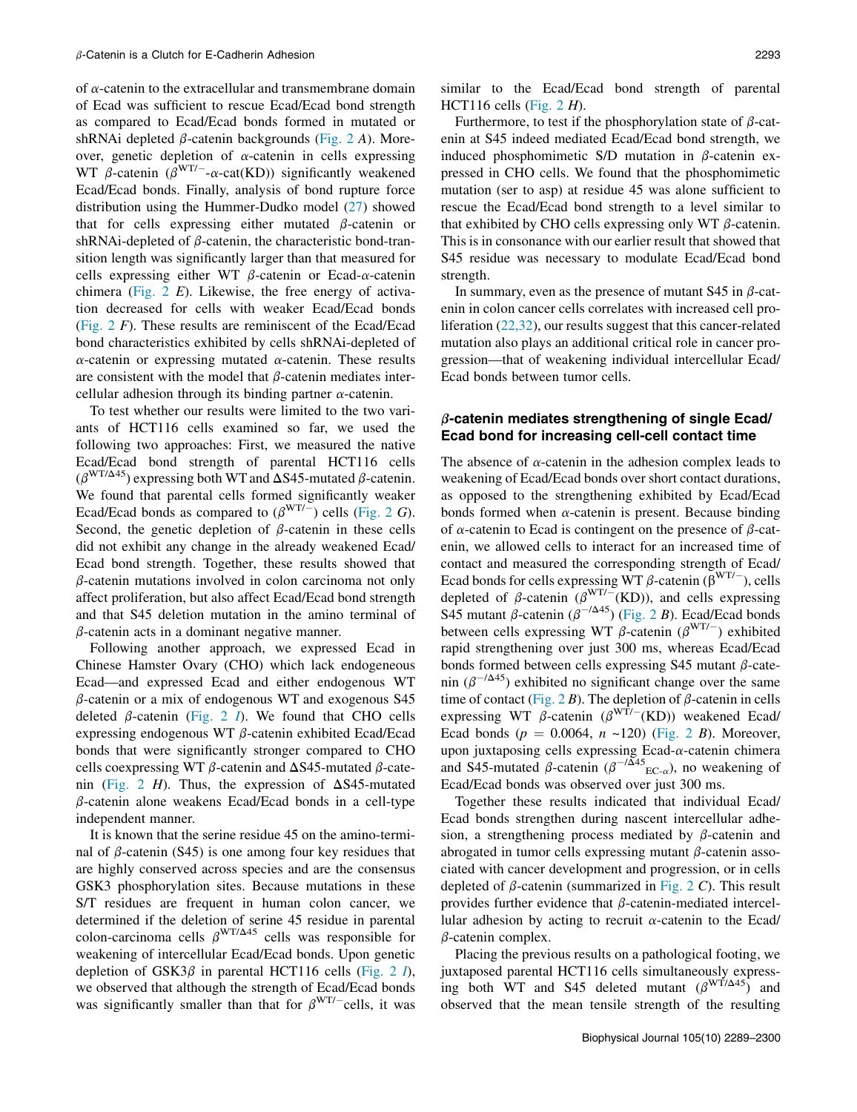of  $\alpha$ -catenin to the extracellular and transmembrane domain of Ecad was sufficient to rescue Ecad/Ecad bond strength as compared to Ecad/Ecad bonds formed in mutated or shRNAi depleted  $\beta$ -catenin backgrounds (Fig. 2 A). Moreover, genetic depletion of  $\alpha$ -catenin in cells expressing WT  $\beta$ -catenin  $(\beta^{WT/-} - \alpha$ -cat(KD)) significantly weakened Ecad/Ecad bonds. Finally, analysis of bond rupture force distribution using the Hummer-Dudko model (27) showed that for cells expressing either mutated  $\beta$ -catenin or shRNAi-depleted of  $\beta$ -catenin, the characteristic bond-transition length was significantly larger than that measured for cells expressing either WT  $\beta$ -catenin or Ecad- $\alpha$ -catenin chimera (Fig.  $2 E$ ). Likewise, the free energy of activation decreased for cells with weaker Ecad/Ecad bonds (Fig. 2 F). These results are reminiscent of the Ecad/Ecad bond characteristics exhibited by cells shRNAi-depleted of  $\alpha$ -catenin or expressing mutated  $\alpha$ -catenin. These results are consistent with the model that  $\beta$ -catenin mediates intercellular adhesion through its binding partner  $\alpha$ -catenin.

To test whether our results were limited to the two variants of HCT116 cells examined so far, we used the following two approaches: First, we measured the native Ecad/Ecad bond strength of parental HCT116 cells  $(\beta^{WT/\Delta 45})$  expressing both WT and  $\Delta S45$ -mutated  $\beta$ -catenin. We found that parental cells formed significantly weaker Ecad/Ecad bonds as compared to  $(\beta^{\text{WT}/})$  cells (Fig. 2 G). Second, the genetic depletion of  $\beta$ -catenin in these cells did not exhibit any change in the already weakened Ecad/ Ecad bond strength. Together, these results showed that  $\beta$ -catenin mutations involved in colon carcinoma not only affect proliferation, but also affect Ecad/Ecad bond strength and that S45 deletion mutation in the amino terminal of  $\beta$ -catenin acts in a dominant negative manner.

Following another approach, we expressed Ecad in Chinese Hamster Ovary (CHO) which lack endogeneous Ecad—and expressed Ecad and either endogenous WT  $\beta$ -catenin or a mix of endogenous WT and exogenous S45 deleted  $\beta$ -catenin (Fig. 2 I). We found that CHO cells expressing endogenous WT  $\beta$ -catenin exhibited Ecad/Ecad bonds that were significantly stronger compared to CHO cells coexpressing WT  $\beta$ -catenin and  $\Delta S$ 45-mutated  $\beta$ -catenin (Fig. 2 H). Thus, the expression of  $\Delta S$ 45-mutated  $\beta$ -catenin alone weakens Ecad/Ecad bonds in a cell-type independent manner.

It is known that the serine residue 45 on the amino-terminal of  $\beta$ -catenin (S45) is one among four key residues that are highly conserved across species and are the consensus GSK3 phosphorylation sites. Because mutations in these S/T residues are frequent in human colon cancer, we determined if the deletion of serine 45 residue in parental colon-carcinoma cells  $\beta^{WT/\Delta 45}$  cells was responsible for weakening of intercellular Ecad/Ecad bonds. Upon genetic depletion of GSK3 $\beta$  in parental HCT116 cells (Fig. 2 I), we observed that although the strength of Ecad/Ecad bonds was significantly smaller than that for  $\beta^{WT/-}$  cells, it was

similar to the Ecad/Ecad bond strength of parental HCT116 cells (Fig.  $2 H$ ).

Furthermore, to test if the phosphorylation state of  $\beta$ -catenin at S45 indeed mediated Ecad/Ecad bond strength, we induced phosphomimetic S/D mutation in  $\beta$ -catenin expressed in CHO cells. We found that the phosphomimetic mutation (ser to asp) at residue 45 was alone sufficient to rescue the Ecad/Ecad bond strength to a level similar to that exhibited by CHO cells expressing only WT  $\beta$ -catenin. This is in consonance with our earlier result that showed that S45 residue was necessary to modulate Ecad/Ecad bond strength.

In summary, even as the presence of mutant S45 in  $\beta$ -catenin in colon cancer cells correlates with increased cell proliferation (22,32), our results suggest that this cancer-related mutation also plays an additional critical role in cancer progression—that of weakening individual intercellular Ecad/ Ecad bonds between tumor cells.

# $\beta$ -catenin mediates strengthening of single Ecad/ Ecad bond for increasing cell-cell contact time

The absence of  $\alpha$ -catenin in the adhesion complex leads to weakening of Ecad/Ecad bonds over short contact durations, as opposed to the strengthening exhibited by Ecad/Ecad bonds formed when  $\alpha$ -catenin is present. Because binding of  $\alpha$ -catenin to Ecad is contingent on the presence of  $\beta$ -catenin, we allowed cells to interact for an increased time of contact and measured the corresponding strength of Ecad/ Ecad bonds for cells expressing WT  $\beta$ -catenin ( $\beta^{WT/-}$ ), cells depleted of  $\beta$ -catenin  $(\beta^{WT/-(KD)})$ , and cells expressing S45 mutant  $\beta$ -catenin  $(\beta^{-1/45})$  (Fig. 2 B). Ecad/Ecad bonds between cells expressing WT  $\beta$ -catenin ( $\beta$ <sup>WT/-</sup>) exhibited rapid strengthening over just 300 ms, whereas Ecad/Ecad bonds formed between cells expressing S45 mutant  $\beta$ -catenin  $(\beta^{-1/45})$  exhibited no significant change over the same time of contact (Fig. 2 B). The depletion of  $\beta$ -catenin in cells expressing WT  $\beta$ -catenin  $(\beta^{\text{WT}/\text{-}}(\text{KD}))$  weakened Ecad/ Ecad bonds ( $p = 0.0064$ ,  $n \sim 120$ ) (Fig. 2 B). Moreover, upon juxtaposing cells expressing Ecad- $\alpha$ -catenin chimera and S45-mutated  $\beta$ -catenin ( $\beta^{-/\Delta 45}$ <sub>EC-a</sub>), no weakening of Ecad/Ecad bonds was observed over just 300 ms.

Together these results indicated that individual Ecad/ Ecad bonds strengthen during nascent intercellular adhesion, a strengthening process mediated by  $\beta$ -catenin and abrogated in tumor cells expressing mutant  $\beta$ -catenin associated with cancer development and progression, or in cells depleted of  $\beta$ -catenin (summarized in Fig. 2 C). This result provides further evidence that  $\beta$ -catenin-mediated intercellular adhesion by acting to recruit  $\alpha$ -catenin to the Ecad/  $\beta$ -catenin complex.

Placing the previous results on a pathological footing, we juxtaposed parental HCT116 cells simultaneously expressing both WT and S45 deleted mutant  $(\beta^{W\tilde{T}/\Delta45})$  and observed that the mean tensile strength of the resulting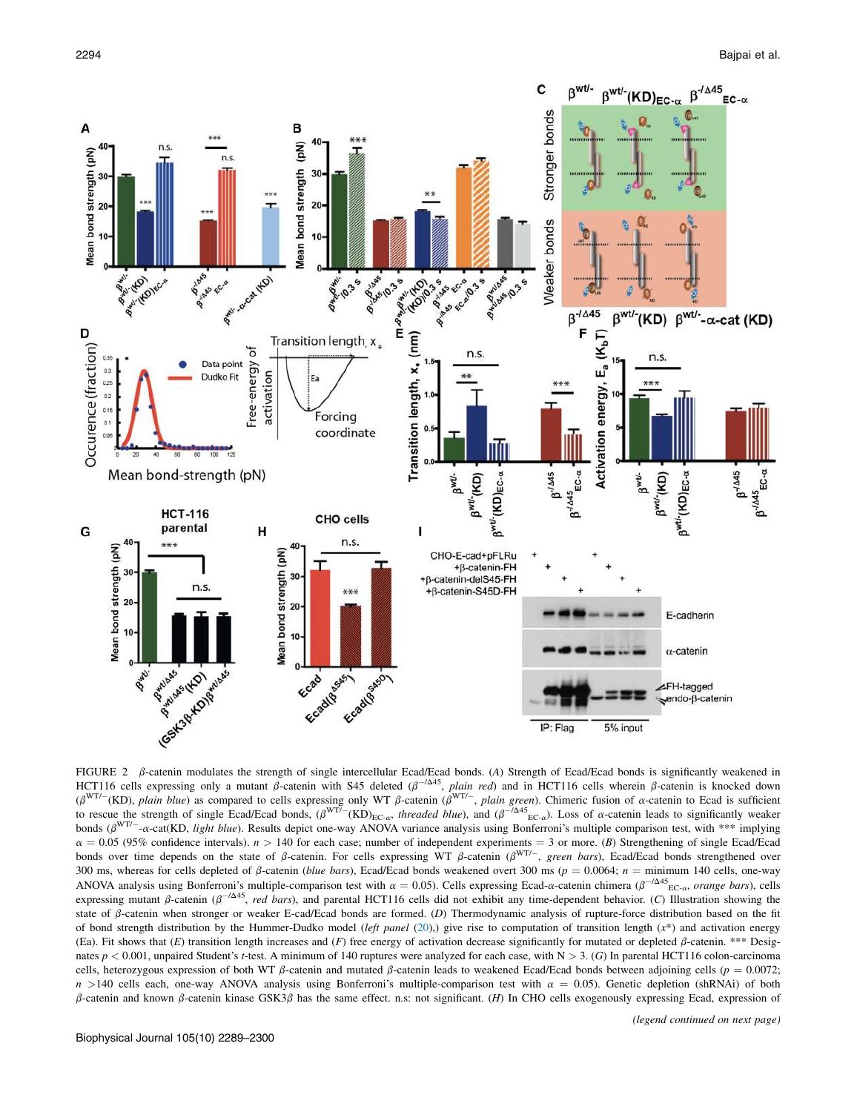

FIGURE 2  $\beta$ -catenin modulates the strength of single intercellular Ecad/Ecad bonds. (A) Strength of Ecad/Ecad bonds is significantly weakened in HCT116 cells expressing only a mutant  $\beta$ -catenin with S45 deleted ( $\beta$ <sup>-/ $\Delta$ 45</sup>, plain red) and in HCT116 cells wherein  $\beta$ -catenin is knocked down  $(\beta^{WT/-}(KD)$ , plain blue) as compared to cells expressing only WT  $\beta$ -catenin  $(\beta^{WT/-})$ , plain green). Chimeric fusion of  $\alpha$ -catenin to Ecad is sufficient to rescue the strength of single Ecad/Ecad bonds,  $(\beta^{WT} - (KD)_{EC-\alpha}$ , threaded blue), and  $(\beta^{-/ \Delta 45}_{EC-\alpha})$ . Loss of  $\alpha$ -catenin leads to significantly weaker bonds  $(\beta^{WT/-} - \alpha \text{-cat(KD, } light \ blue)$ . Results depict one-way ANOVA variance analysis using Bonferroni's multiple comparison test, with \*\*\* implying  $\alpha = 0.05$  (95% confidence intervals).  $n > 140$  for each case; number of independent experiments = 3 or more. (B) Strengthening of single Ecad/Ecad bonds over time depends on the state of  $\beta$ -catenin. For cells expressing WT  $\beta$ -catenin ( $\beta$ <sup>WT/-</sup>, green bars), Ecad/Ecad bonds strengthened over 300 ms, whereas for cells depleted of  $\beta$ -catenin (blue bars), Ecad/Ecad bonds weakened overt 300 ms ( $p = 0.0064$ ;  $n =$  minimum 140 cells, one-way ANOVA analysis using Bonferroni's multiple-comparison test with  $\alpha = 0.05$ ). Cells expressing Ecad- $\alpha$ -catenin chimera ( $\beta^{-/445}$ <sub>EC- $\alpha$ </sub>, orange bars), cells expressing mutant  $\beta$ -catenin ( $\beta$ <sup>-/ $\Delta$ 45</sup>, *red bars*), and parental HCT116 cells did not exhibit any time-dependent behavior. (C) Illustration showing the state of  $\beta$ -catenin when stronger or weaker E-cad/Ecad bonds are formed. (D) Thermodynamic analysis of rupture-force distribution based on the fit of bond strength distribution by the Hummer-Dudko model (left panel (20),) give rise to computation of transition length ( $x^*$ ) and activation energy (Ea). Fit shows that (E) transition length increases and (F) free energy of activation decrease significantly for mutated or depleted  $\beta$ -catenin. \*\*\* Designates  $p < 0.001$ , unpaired Student's t-test. A minimum of 140 ruptures were analyzed for each case, with  $N > 3$ . (G) In parental HCT116 colon-carcinoma cells, heterozygous expression of both WT  $\beta$ -catenin and mutated  $\beta$ -catenin leads to weakened Ecad/Ecad bonds between adjoining cells ( $p = 0.0072$ ;  $n > 140$  cells each, one-way ANOVA analysis using Bonferroni's multiple-comparison test with  $\alpha = 0.05$ ). Genetic depletion (shRNAi) of both  $\beta$ -catenin and known  $\beta$ -catenin kinase GSK3 $\beta$  has the same effect. n.s: not significant. (H) In CHO cells exogenously expressing Ecad, expression of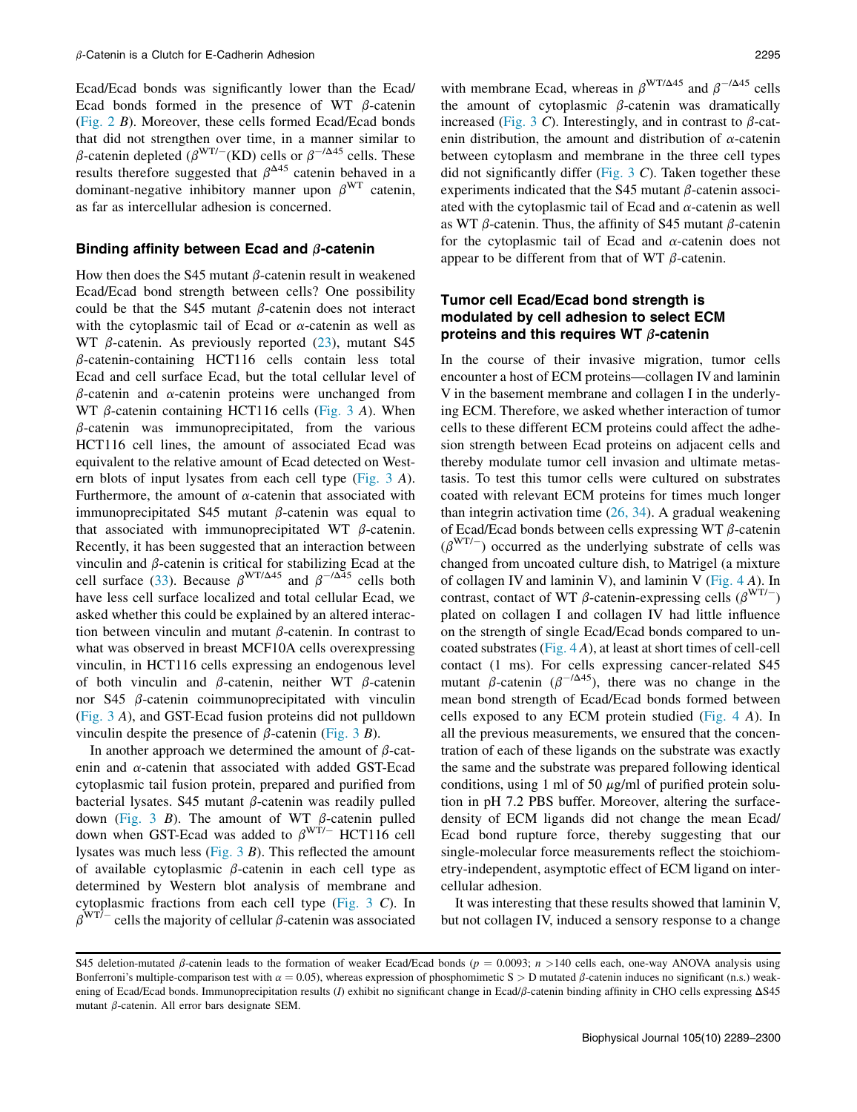Ecad/Ecad bonds was significantly lower than the Ecad/ Ecad bonds formed in the presence of WT  $\beta$ -catenin (Fig. 2 B). Moreover, these cells formed Ecad/Ecad bonds that did not strengthen over time, in a manner similar to  $\beta$ -catenin depleted ( $\beta^{\text{WT}-}(\text{KD})$  cells or  $\beta^{-/\Delta 45}$  cells. These results therefore suggested that  $\beta^{\Delta 45}$  catenin behaved in a dominant-negative inhibitory manner upon  $\beta^{\text{WT}}$  catenin, as far as intercellular adhesion is concerned.

# Binding affinity between Ecad and  $\beta$ -catenin

How then does the S45 mutant  $\beta$ -catenin result in weakened Ecad/Ecad bond strength between cells? One possibility could be that the S45 mutant  $\beta$ -catenin does not interact with the cytoplasmic tail of Ecad or  $\alpha$ -catenin as well as WT  $\beta$ -catenin. As previously reported (23), mutant S45  $\beta$ -catenin-containing HCT116 cells contain less total Ecad and cell surface Ecad, but the total cellular level of  $\beta$ -catenin and  $\alpha$ -catenin proteins were unchanged from WT  $\beta$ -catenin containing HCT116 cells (Fig. 3 A). When  $\beta$ -catenin was immunoprecipitated, from the various HCT116 cell lines, the amount of associated Ecad was equivalent to the relative amount of Ecad detected on Western blots of input lysates from each cell type (Fig. 3 A). Furthermore, the amount of  $\alpha$ -catenin that associated with immunoprecipitated S45 mutant  $\beta$ -catenin was equal to that associated with immunoprecipitated WT  $\beta$ -catenin. Recently, it has been suggested that an interaction between vinculin and  $\beta$ -catenin is critical for stabilizing Ecad at the cell surface (33). Because  $\beta^{WT/\Delta 45}$  and  $\beta^{-/\Delta 45}$  cells both have less cell surface localized and total cellular Ecad, we asked whether this could be explained by an altered interaction between vinculin and mutant  $\beta$ -catenin. In contrast to what was observed in breast MCF10A cells overexpressing vinculin, in HCT116 cells expressing an endogenous level of both vinculin and  $\beta$ -catenin, neither WT  $\beta$ -catenin nor  $S45$   $\beta$ -catenin coimmunoprecipitated with vinculin (Fig. 3 A), and GST-Ecad fusion proteins did not pulldown vinculin despite the presence of  $\beta$ -catenin (Fig. 3 B).

In another approach we determined the amount of  $\beta$ -catenin and  $\alpha$ -catenin that associated with added GST-Ecad cytoplasmic tail fusion protein, prepared and purified from bacterial lysates. S45 mutant  $\beta$ -catenin was readily pulled down (Fig. 3 B). The amount of WT  $\beta$ -catenin pulled down when GST-Ecad was added to  $\beta^{\text{WT}-}$  HCT116 cell lysates was much less (Fig. 3 B). This reflected the amount of available cytoplasmic  $\beta$ -catenin in each cell type as determined by Western blot analysis of membrane and cytoplasmic fractions from each cell type (Fig. 3 C). In  $\beta^{\text{WT}-}$  cells the majority of cellular  $\beta$ -catenin was associated

with membrane Ecad, whereas in  $\beta^{WT/\Delta 45}$  and  $\beta^{-/\Delta 45}$  cells the amount of cytoplasmic  $\beta$ -catenin was dramatically increased (Fig. 3 C). Interestingly, and in contrast to  $\beta$ -catenin distribution, the amount and distribution of  $\alpha$ -catenin between cytoplasm and membrane in the three cell types did not significantly differ (Fig.  $3 \text{ } C$ ). Taken together these experiments indicated that the S45 mutant  $\beta$ -catenin associated with the cytoplasmic tail of Ecad and  $\alpha$ -catenin as well as WT  $\beta$ -catenin. Thus, the affinity of S45 mutant  $\beta$ -catenin for the cytoplasmic tail of Ecad and  $\alpha$ -catenin does not appear to be different from that of WT  $\beta$ -catenin.

# Tumor cell Ecad/Ecad bond strength is modulated by cell adhesion to select ECM proteins and this requires WT  $\beta$ -catenin

In the course of their invasive migration, tumor cells encounter a host of ECM proteins—collagen IV and laminin V in the basement membrane and collagen I in the underlying ECM. Therefore, we asked whether interaction of tumor cells to these different ECM proteins could affect the adhesion strength between Ecad proteins on adjacent cells and thereby modulate tumor cell invasion and ultimate metastasis. To test this tumor cells were cultured on substrates coated with relevant ECM proteins for times much longer than integrin activation time  $(26, 34)$ . A gradual weakening of Ecad/Ecad bonds between cells expressing WT  $\beta$ -catenin  $(\beta^{WT/-})$  occurred as the underlying substrate of cells was changed from uncoated culture dish, to Matrigel (a mixture of collagen IV and laminin V), and laminin V (Fig.  $4 A$ ). In contrast, contact of WT  $\beta$ -catenin-expressing cells  $(\beta^{WT/-})$ plated on collagen I and collagen IV had little influence on the strength of single Ecad/Ecad bonds compared to uncoated substrates (Fig. 4 A), at least at short times of cell-cell contact (1 ms). For cells expressing cancer-related S45 mutant  $\beta$ -catenin ( $\beta$ <sup>-/ $\Delta$ 45</sup>), there was no change in the mean bond strength of Ecad/Ecad bonds formed between cells exposed to any ECM protein studied (Fig. 4 A). In all the previous measurements, we ensured that the concentration of each of these ligands on the substrate was exactly the same and the substrate was prepared following identical conditions, using 1 ml of 50  $\mu$ g/ml of purified protein solution in pH 7.2 PBS buffer. Moreover, altering the surfacedensity of ECM ligands did not change the mean Ecad/ Ecad bond rupture force, thereby suggesting that our single-molecular force measurements reflect the stoichiometry-independent, asymptotic effect of ECM ligand on intercellular adhesion.

It was interesting that these results showed that laminin V, but not collagen IV, induced a sensory response to a change

S45 deletion-mutated  $\beta$ -catenin leads to the formation of weaker Ecad/Ecad bonds ( $p = 0.0093$ ; n >140 cells each, one-way ANOVA analysis using Bonferroni's multiple-comparison test with  $\alpha = 0.05$ ), whereas expression of phosphomimetic S > D mutated  $\beta$ -catenin induces no significant (n.s.) weakening of Ecad/Ecad bonds. Immunoprecipitation results (I) exhibit no significant change in Ecad/ $\beta$ -catenin binding affinity in CHO cells expressing  $\Delta$ S45 mutant  $\beta$ -catenin. All error bars designate SEM.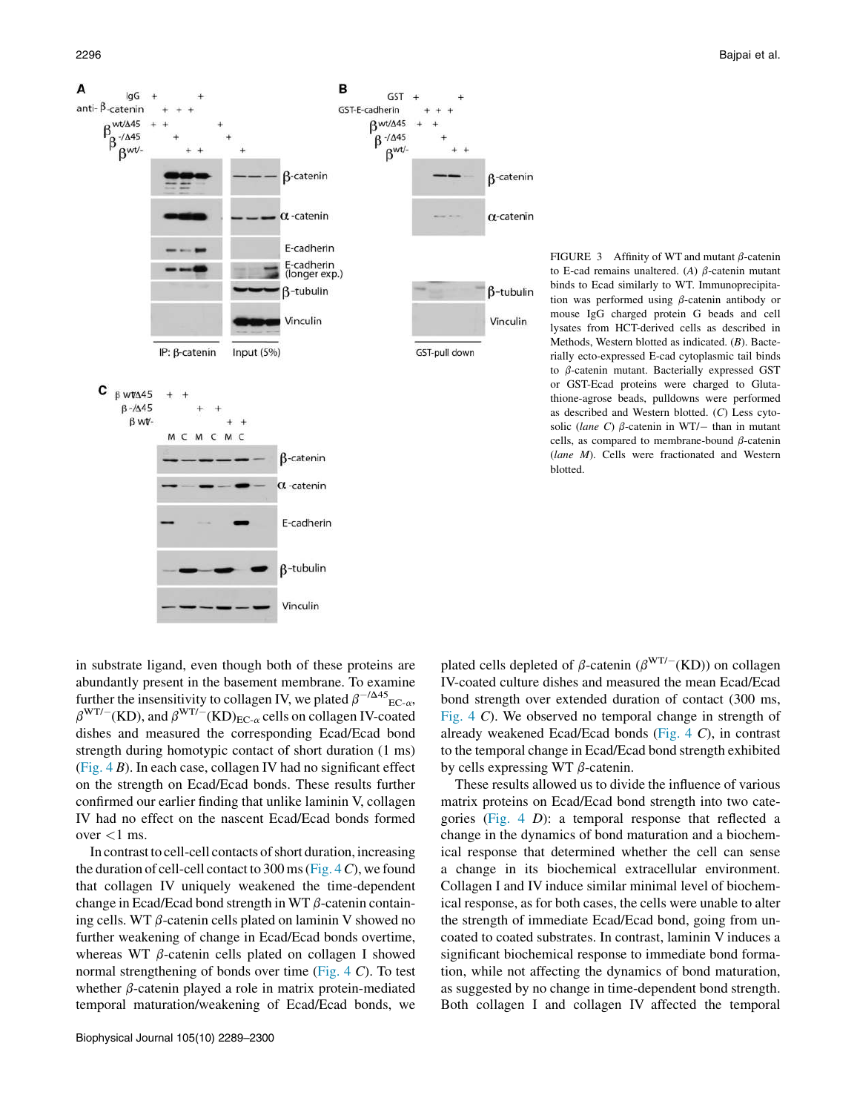

FIGURE 3 Affinity of WT and mutant  $\beta$ -catenin to E-cad remains unaltered. (A)  $\beta$ -catenin mutant binds to Ecad similarly to WT. Immunoprecipitation was performed using  $\beta$ -catenin antibody or mouse IgG charged protein G beads and cell lysates from HCT-derived cells as described in Methods, Western blotted as indicated. (B). Bacterially ecto-expressed E-cad cytoplasmic tail binds to  $\beta$ -catenin mutant. Bacterially expressed GST or GST-Ecad proteins were charged to Glutathione-agrose beads, pulldowns were performed as described and Western blotted. (C) Less cytosolic (lane C)  $\beta$ -catenin in WT/- than in mutant cells, as compared to membrane-bound  $\beta$ -catenin (lane M). Cells were fractionated and Western blotted.

in substrate ligand, even though both of these proteins are abundantly present in the basement membrane. To examine further the insensitivity to collagen IV, we plated  $\beta^{-/\Delta 45}$ <sub>EC- $\alpha$ </sub>,  $\beta^{WT/-(KD)}$ , and  $\beta^{WT/-(KD)_{EC-\alpha}}$  cells on collagen IV-coated dishes and measured the corresponding Ecad/Ecad bond strength during homotypic contact of short duration (1 ms)  $(Fig. 4B)$ . In each case, collagen IV had no significant effect on the strength on Ecad/Ecad bonds. These results further confirmed our earlier finding that unlike laminin V, collagen IV had no effect on the nascent Ecad/Ecad bonds formed over  $<1$  ms.

In contrast to cell-cell contacts of short duration, increasing the duration of cell-cell contact to 300 ms (Fig.  $4 C$ ), we found that collagen IV uniquely weakened the time-dependent change in Ecad/Ecad bond strength in WT  $\beta$ -catenin containing cells. WT  $\beta$ -catenin cells plated on laminin V showed no further weakening of change in Ecad/Ecad bonds overtime, whereas WT  $\beta$ -catenin cells plated on collagen I showed normal strengthening of bonds over time (Fig. 4 C). To test whether  $\beta$ -catenin played a role in matrix protein-mediated temporal maturation/weakening of Ecad/Ecad bonds, we

plated cells depleted of  $\beta$ -catenin ( $\beta^{WT/-}(KD)$ ) on collagen IV-coated culture dishes and measured the mean Ecad/Ecad bond strength over extended duration of contact (300 ms, Fig. 4 C). We observed no temporal change in strength of already weakened Ecad/Ecad bonds (Fig. 4 C), in contrast to the temporal change in Ecad/Ecad bond strength exhibited by cells expressing WT  $\beta$ -catenin.

These results allowed us to divide the influence of various matrix proteins on Ecad/Ecad bond strength into two categories (Fig. 4 D): a temporal response that reflected a change in the dynamics of bond maturation and a biochemical response that determined whether the cell can sense a change in its biochemical extracellular environment. Collagen I and IV induce similar minimal level of biochemical response, as for both cases, the cells were unable to alter the strength of immediate Ecad/Ecad bond, going from uncoated to coated substrates. In contrast, laminin V induces a significant biochemical response to immediate bond formation, while not affecting the dynamics of bond maturation, as suggested by no change in time-dependent bond strength. Both collagen I and collagen IV affected the temporal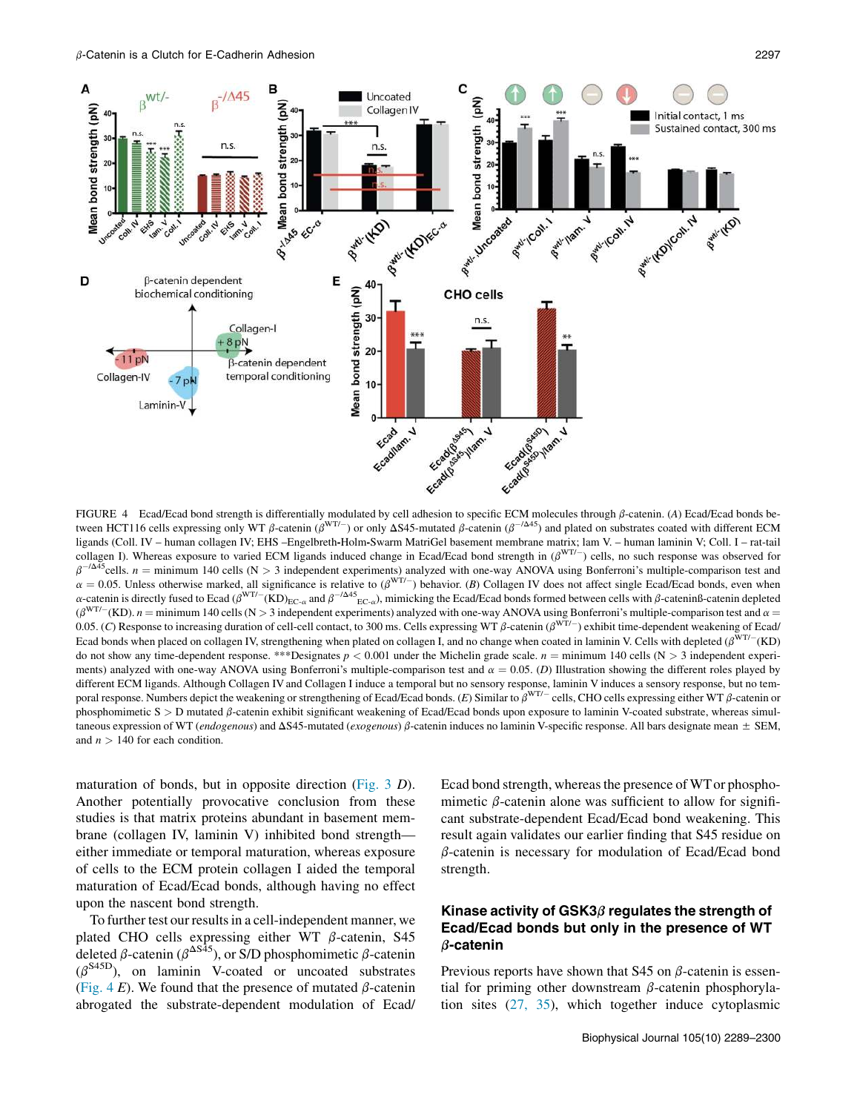

FIGURE 4 Ecad/Ecad bond strength is differentially modulated by cell adhesion to specific ECM molecules through  $\beta$ -catenin. (A) Ecad/Ecad bonds between HCT116 cells expressing only WT  $\beta$ -catenin ( $\beta$ <sup>WT/-</sup>) or only  $\Delta$ S45-mutated  $\beta$ -catenin ( $\beta$ <sup>-/ $\Delta$ 45</sup>) and plated on substrates coated with different ECM ligands (Coll. IV – human collagen IV; EHS –Engelbreth-Holm-Swarm MatriGel basement membrane matrix; lam V. – human laminin V; Coll. I – rat-tail collagen I). Whereas exposure to varied ECM ligands induced change in Ecad/Ecad bond strength in  $(\beta^{WT/-})$  cells, no such response was observed for  $\beta^{-/\Delta 45}$ cells. n = minimum 140 cells (N > 3 independent experiments) analyzed with one-way ANOVA using Bonferroni's multiple-comparison test and  $\alpha = 0.05$ . Unless otherwise marked, all significance is relative to ( $\beta$ <sup>WT/-</sup>) behavior. (B) Collagen IV does not affect single Ecad/Ecad bonds, even when  $\alpha$ -catenin is directly fused to Ecad ( $\beta^{WT/-}(\overline{KD})_{\text{EC-}\alpha}$  and  $\beta^{-/\Delta 45}$ <sub>EC- $\alpha$ </sub>), mimicking the Ecad/Ecad bonds formed between cells with  $\beta$ -cateninß-catenin depleted  $(\beta^{WT}{}'$  (KD). n = minimum 140 cells (N > 3 independent experiments) analyzed with one-way ANOVA using Bonferroni's multiple-comparison test and  $\alpha$  = 0.05. (C) Response to increasing duration of cell-cell contact, to 300 ms. Cells expressing WT  $\beta$ -catenin ( $\beta$ <sup>WT/-</sup>) exhibit time-dependent weakening of Ecad/ Ecad bonds when placed on collagen IV, strengthening when plated on collagen I, and no change when coated in laminin V. Cells with depleted  $(\beta^{\text{WT}-}(\text{KD})$ do not show any time-dependent response. \*\*\*Designates  $p < 0.001$  under the Michelin grade scale.  $n =$  minimum 140 cells (N > 3 independent experiments) analyzed with one-way ANOVA using Bonferroni's multiple-comparison test and  $\alpha = 0.05$ . (D) Illustration showing the different roles played by different ECM ligands. Although Collagen IV and Collagen I induce a temporal but no sensory response, laminin V induces a sensory response, but no temporal response. Numbers depict the weakening or strengthening of Ecad/Ecad bonds. (E) Similar to  $\beta^{WT/-}$  cells, CHO cells expressing either WT  $\beta$ -catenin or phosphomimetic  $S > D$  mutated  $\beta$ -catenin exhibit significant weakening of Ecad/Ecad bonds upon exposure to laminin V-coated substrate, whereas simultaneous expression of WT (endogenous) and  $\Delta S45$ -mutated (exogenous)  $\beta$ -catenin induces no laminin V-specific response. All bars designate mean  $\pm$  SEM, and  $n > 140$  for each condition.

maturation of bonds, but in opposite direction (Fig. 3 D). Another potentially provocative conclusion from these studies is that matrix proteins abundant in basement membrane (collagen IV, laminin V) inhibited bond strength either immediate or temporal maturation, whereas exposure of cells to the ECM protein collagen I aided the temporal maturation of Ecad/Ecad bonds, although having no effect upon the nascent bond strength.

To further test our results in a cell-independent manner, we plated CHO cells expressing either WT  $\beta$ -catenin, S45 deleted  $\beta$ -catenin ( $\beta^{\Delta S\tilde{4}5}$ ), or S/D phosphomimetic  $\beta$ -catenin  $(\beta^{\text{S45D}})$ , on laminin V-coated or uncoated substrates (Fig. 4 E). We found that the presence of mutated  $\beta$ -catenin abrogated the substrate-dependent modulation of Ecad/ Ecad bond strength, whereas the presence of WT or phosphomimetic  $\beta$ -catenin alone was sufficient to allow for significant substrate-dependent Ecad/Ecad bond weakening. This result again validates our earlier finding that S45 residue on  $\beta$ -catenin is necessary for modulation of Ecad/Ecad bond strength.

# Kinase activity of GSK3 $\beta$  regulates the strength of Ecad/Ecad bonds but only in the presence of WT  $\beta$ -catenin

Previous reports have shown that S45 on  $\beta$ -catenin is essential for priming other downstream  $\beta$ -catenin phosphorylation sites (27, 35), which together induce cytoplasmic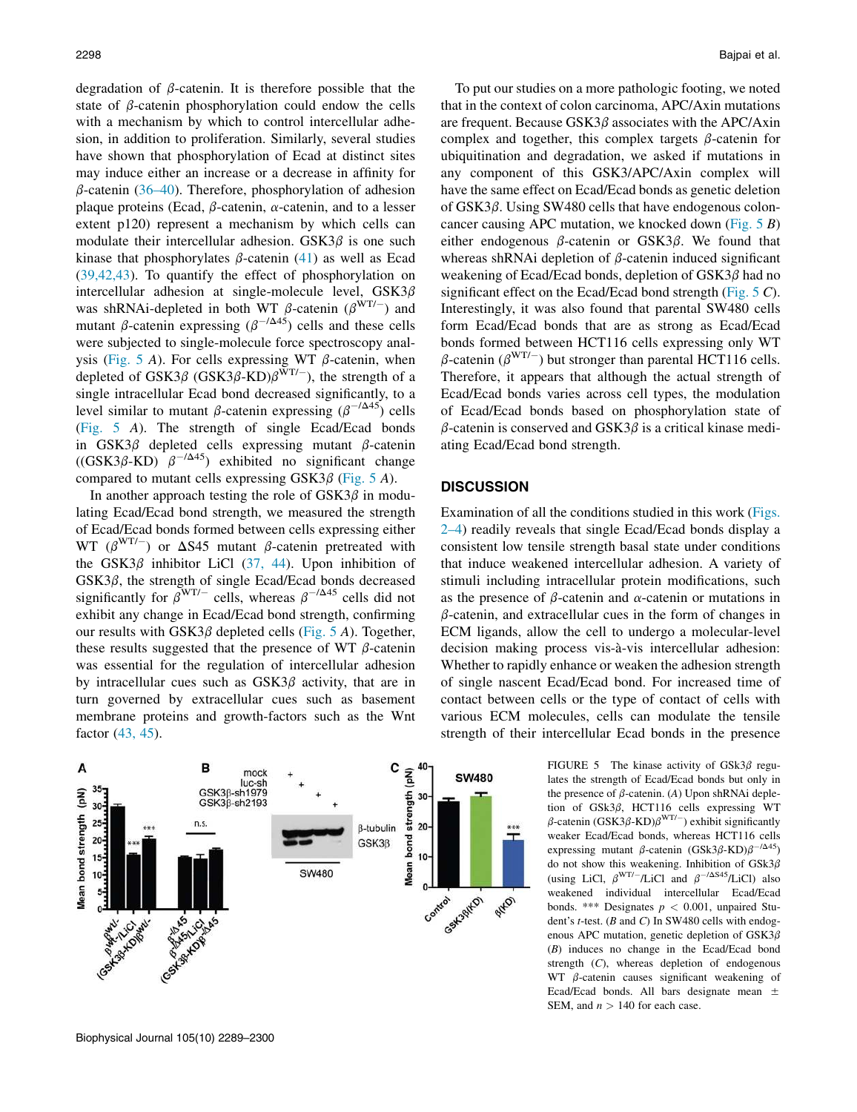degradation of  $\beta$ -catenin. It is therefore possible that the state of  $\beta$ -catenin phosphorylation could endow the cells with a mechanism by which to control intercellular adhesion, in addition to proliferation. Similarly, several studies have shown that phosphorylation of Ecad at distinct sites may induce either an increase or a decrease in affinity for  $\beta$ -catenin (36–40). Therefore, phosphorylation of adhesion plaque proteins (Ecad,  $\beta$ -catenin,  $\alpha$ -catenin, and to a lesser extent p120) represent a mechanism by which cells can modulate their intercellular adhesion. GSK3 $\beta$  is one such kinase that phosphorylates  $\beta$ -catenin (41) as well as Ecad (39,42,43). To quantify the effect of phosphorylation on intercellular adhesion at single-molecule level,  $GSK3\beta$ was shRNAi-depleted in both WT  $\beta$ -catenin ( $\beta^{\text{WT}-}$ ) and mutant  $\beta$ -catenin expressing  $(\beta^{-/\Delta 45})$  cells and these cells were subjected to single-molecule force spectroscopy analysis (Fig. 5 A). For cells expressing WT  $\beta$ -catenin, when depleted of GSK3 $\beta$  (GSK3 $\beta$ -KD) $\beta^{\text{WT}-}$ ), the strength of a single intracellular Ecad bond decreased significantly, to a level similar to mutant  $\beta$ -catenin expressing  $(\beta^{-/\Delta 45})$  cells (Fig. 5 A). The strength of single Ecad/Ecad bonds in GSK3 $\beta$  depleted cells expressing mutant  $\beta$ -catenin  $((GSK3\beta - KD) \beta^{-/\Delta 45})$  exhibited no significant change compared to mutant cells expressing  $GSK3\beta$  (Fig. 5 A).

In another approach testing the role of  $GSK3\beta$  in modulating Ecad/Ecad bond strength, we measured the strength of Ecad/Ecad bonds formed between cells expressing either WT ( $\beta^{WT/-}$ ) or  $\Delta$ S45 mutant  $\beta$ -catenin pretreated with the GSK3 $\beta$  inhibitor LiCl (37, 44). Upon inhibition of  $GSK3\beta$ , the strength of single Ecad/Ecad bonds decreased significantly for  $\beta^{\text{WT}/-}$  cells, whereas  $\beta^{-/\Delta 45}$  cells did not exhibit any change in Ecad/Ecad bond strength, confirming our results with GSK3 $\beta$  depleted cells (Fig. 5 A). Together, these results suggested that the presence of WT  $\beta$ -catenin was essential for the regulation of intercellular adhesion by intracellular cues such as  $GSK3\beta$  activity, that are in turn governed by extracellular cues such as basement membrane proteins and growth-factors such as the Wnt factor (43, 45).



To put our studies on a more pathologic footing, we noted that in the context of colon carcinoma, APC/Axin mutations are frequent. Because  $GSK3\beta$  associates with the APC/Axin complex and together, this complex targets  $\beta$ -catenin for ubiquitination and degradation, we asked if mutations in any component of this GSK3/APC/Axin complex will have the same effect on Ecad/Ecad bonds as genetic deletion of  $GSK3\beta$ . Using SW480 cells that have endogenous coloncancer causing APC mutation, we knocked down (Fig.  $5 B$ ) either endogenous  $\beta$ -catenin or GSK3 $\beta$ . We found that whereas shRNAi depletion of  $\beta$ -catenin induced significant weakening of Ecad/Ecad bonds, depletion of  $GSK3\beta$  had no significant effect on the Ecad/Ecad bond strength (Fig. 5 C). Interestingly, it was also found that parental SW480 cells form Ecad/Ecad bonds that are as strong as Ecad/Ecad bonds formed between HCT116 cells expressing only WT  $\beta$ -catenin ( $\beta$ <sup>WT/-</sup>) but stronger than parental HCT116 cells. Therefore, it appears that although the actual strength of Ecad/Ecad bonds varies across cell types, the modulation of Ecad/Ecad bonds based on phosphorylation state of  $\beta$ -catenin is conserved and GSK3 $\beta$  is a critical kinase mediating Ecad/Ecad bond strength.

#### **DISCUSSION**

Examination of all the conditions studied in this work (Figs. 2–4) readily reveals that single Ecad/Ecad bonds display a consistent low tensile strength basal state under conditions that induce weakened intercellular adhesion. A variety of stimuli including intracellular protein modifications, such as the presence of  $\beta$ -catenin and  $\alpha$ -catenin or mutations in  $\beta$ -catenin, and extracellular cues in the form of changes in ECM ligands, allow the cell to undergo a molecular-level decision making process vis-à-vis intercellular adhesion: Whether to rapidly enhance or weaken the adhesion strength of single nascent Ecad/Ecad bond. For increased time of contact between cells or the type of contact of cells with various ECM molecules, cells can modulate the tensile strength of their intercellular Ecad bonds in the presence

> FIGURE 5 The kinase activity of  $GSK3\beta$  regulates the strength of Ecad/Ecad bonds but only in the presence of  $\beta$ -catenin. (A) Upon shRNAi depletion of  $GSK3\beta$ , HCT116 cells expressing WT  $\beta$ -catenin (GSK3 $\beta$ -KD) $\beta^{\text{WT}-}$ ) exhibit significantly weaker Ecad/Ecad bonds, whereas HCT116 cells expressing mutant  $\beta$ -catenin (GSk3 $\beta$ -KD) $\beta$ <sup>-/ $\Delta$ 45</sup>) do not show this weakening. Inhibition of  $GSk3\beta$ (using LiCl,  $\beta^{WT/-}/LiCl$  and  $\beta^{-/\Delta S45}/LiCl$ ) also weakened individual intercellular Ecad/Ecad bonds. \*\*\* Designates  $p < 0.001$ , unpaired Student's  $t$ -test. ( $B$  and  $C$ ) In SW480 cells with endogenous APC mutation, genetic depletion of  $GSK3\beta$ (B) induces no change in the Ecad/Ecad bond strength (C), whereas depletion of endogenous WT  $\beta$ -catenin causes significant weakening of Ecad/Ecad bonds. All bars designate mean  $\pm$ SEM, and  $n > 140$  for each case.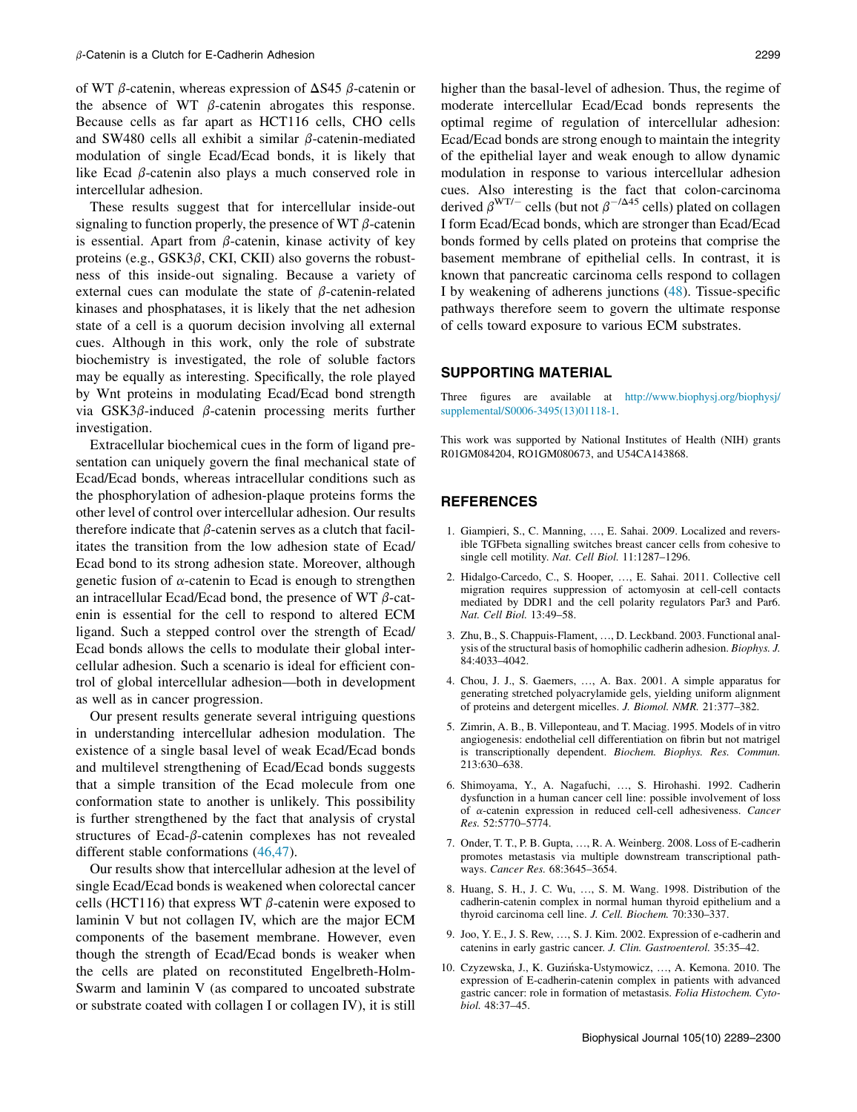of WT  $\beta$ -catenin, whereas expression of  $\Delta S45$   $\beta$ -catenin or the absence of WT  $\beta$ -catenin abrogates this response. Because cells as far apart as HCT116 cells, CHO cells and SW480 cells all exhibit a similar  $\beta$ -catenin-mediated modulation of single Ecad/Ecad bonds, it is likely that like Ecad  $\beta$ -catenin also plays a much conserved role in intercellular adhesion.

These results suggest that for intercellular inside-out signaling to function properly, the presence of WT  $\beta$ -catenin is essential. Apart from  $\beta$ -catenin, kinase activity of key proteins (e.g.,  $GSK3\beta$ , CKI, CKII) also governs the robustness of this inside-out signaling. Because a variety of external cues can modulate the state of  $\beta$ -catenin-related kinases and phosphatases, it is likely that the net adhesion state of a cell is a quorum decision involving all external cues. Although in this work, only the role of substrate biochemistry is investigated, the role of soluble factors may be equally as interesting. Specifically, the role played by Wnt proteins in modulating Ecad/Ecad bond strength via  $GSK3\beta$ -induced  $\beta$ -catenin processing merits further investigation.

Extracellular biochemical cues in the form of ligand presentation can uniquely govern the final mechanical state of Ecad/Ecad bonds, whereas intracellular conditions such as the phosphorylation of adhesion-plaque proteins forms the other level of control over intercellular adhesion. Our results therefore indicate that  $\beta$ -catenin serves as a clutch that facilitates the transition from the low adhesion state of Ecad/ Ecad bond to its strong adhesion state. Moreover, although genetic fusion of  $\alpha$ -catenin to Ecad is enough to strengthen an intracellular Ecad/Ecad bond, the presence of WT  $\beta$ -catenin is essential for the cell to respond to altered ECM ligand. Such a stepped control over the strength of Ecad/ Ecad bonds allows the cells to modulate their global intercellular adhesion. Such a scenario is ideal for efficient control of global intercellular adhesion—both in development as well as in cancer progression.

Our present results generate several intriguing questions in understanding intercellular adhesion modulation. The existence of a single basal level of weak Ecad/Ecad bonds and multilevel strengthening of Ecad/Ecad bonds suggests that a simple transition of the Ecad molecule from one conformation state to another is unlikely. This possibility is further strengthened by the fact that analysis of crystal structures of Ecad- $\beta$ -catenin complexes has not revealed different stable conformations (46,47).

Our results show that intercellular adhesion at the level of single Ecad/Ecad bonds is weakened when colorectal cancer cells (HCT116) that express WT  $\beta$ -catenin were exposed to laminin V but not collagen IV, which are the major ECM components of the basement membrane. However, even though the strength of Ecad/Ecad bonds is weaker when the cells are plated on reconstituted Engelbreth-Holm-Swarm and laminin V (as compared to uncoated substrate or substrate coated with collagen I or collagen IV), it is still higher than the basal-level of adhesion. Thus, the regime of moderate intercellular Ecad/Ecad bonds represents the optimal regime of regulation of intercellular adhesion: Ecad/Ecad bonds are strong enough to maintain the integrity of the epithelial layer and weak enough to allow dynamic modulation in response to various intercellular adhesion cues. Also interesting is the fact that colon-carcinoma derived  $\beta^{WT/-}$  cells (but not  $\beta^{-/\Delta 45}$  cells) plated on collagen I form Ecad/Ecad bonds, which are stronger than Ecad/Ecad bonds formed by cells plated on proteins that comprise the basement membrane of epithelial cells. In contrast, it is known that pancreatic carcinoma cells respond to collagen I by weakening of adherens junctions (48). Tissue-specific pathways therefore seem to govern the ultimate response of cells toward exposure to various ECM substrates.

# SUPPORTING MATERIAL

Three figures are available at http://www.biophysj.org/biophysj/ supplemental/S0006-3495(13)01118-1.

This work was supported by National Institutes of Health (NIH) grants R01GM084204, RO1GM080673, and U54CA143868.

### REFERENCES

- 1. Giampieri, S., C. Manning, ..., E. Sahai. 2009. Localized and reversible TGFbeta signalling switches breast cancer cells from cohesive to single cell motility. Nat. Cell Biol. 11:1287–1296.
- 2. Hidalgo-Carcedo, C., S. Hooper, ..., E. Sahai. 2011. Collective cell migration requires suppression of actomyosin at cell-cell contacts mediated by DDR1 and the cell polarity regulators Par3 and Par6. Nat. Cell Biol. 13:49–58.
- 3. Zhu, B., S. Chappuis-Flament, ., D. Leckband. 2003. Functional analysis of the structural basis of homophilic cadherin adhesion. Biophys. J. 84:4033–4042.
- 4. Chou, J. J., S. Gaemers, ., A. Bax. 2001. A simple apparatus for generating stretched polyacrylamide gels, yielding uniform alignment of proteins and detergent micelles. J. Biomol. NMR. 21:377–382.
- 5. Zimrin, A. B., B. Villeponteau, and T. Maciag. 1995. Models of in vitro angiogenesis: endothelial cell differentiation on fibrin but not matrigel is transcriptionally dependent. Biochem. Biophys. Res. Commun. 213:630–638.
- 6. Shimoyama, Y., A. Nagafuchi, ., S. Hirohashi. 1992. Cadherin dysfunction in a human cancer cell line: possible involvement of loss of  $\alpha$ -catenin expression in reduced cell-cell adhesiveness. Cancer Res. 52:5770–5774.
- 7. Onder, T. T., P. B. Gupta, ., R. A. Weinberg. 2008. Loss of E-cadherin promotes metastasis via multiple downstream transcriptional pathways. Cancer Res. 68:3645–3654.
- 8. Huang, S. H., J. C. Wu, ., S. M. Wang. 1998. Distribution of the cadherin-catenin complex in normal human thyroid epithelium and a thyroid carcinoma cell line. J. Cell. Biochem. 70:330–337.
- 9. Joo, Y. E., J. S. Rew, ., S. J. Kim. 2002. Expression of e-cadherin and catenins in early gastric cancer. J. Clin. Gastroenterol. 35:35–42.
- 10. Czyzewska, J., K. Guzinska-Ustymowicz, ., A. Kemona. 2010. The expression of E-cadherin-catenin complex in patients with advanced gastric cancer: role in formation of metastasis. Folia Histochem. Cytobiol. 48:37–45.